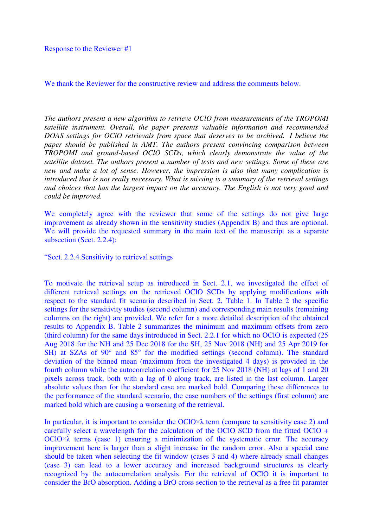We thank the Reviewer for the constructive review and address the comments below.

*The authors present a new algorithm to retrieve OClO from measurements of the TROPOMI satellite instrument. Overall, the paper presents valuable information and recommended DOAS settings for OClO retrievals from space that deserves to be archived. I believe the paper should be published in AMT. The authors present convincing comparison between TROPOMI and ground-based OClO SCDs, which clearly demonstrate the value of the satellite dataset. The authors present a number of tests and new settings. Some of these are new and make a lot of sense. However, the impression is also that many complication is introduced that is not really necessary. What is missing is a summary of the retrieval settings and choices that has the largest impact on the accuracy. The English is not very good and could be improved.*

We completely agree with the reviewer that some of the settings do not give large improvement as already shown in the sensitivity studies (Appendix B) and thus are optional. We will provide the requested summary in the main text of the manuscript as a separate subsection (Sect. 2.2.4):

"Sect. 2.2.4.Sensitivity to retrieval settings

To motivate the retrieval setup as introduced in Sect. 2.1, we investigated the effect of different retrieval settings on the retrieved OClO SCDs by applying modifications with respect to the standard fit scenario described in Sect. 2, Table 1. In Table 2 the specific settings for the sensitivity studies (second column) and corresponding main results (remaining columns on the right) are provided. We refer for a more detailed description of the obtained results to Appendix B. Table 2 summarizes the minimum and maximum offsets from zero (third column) for the same days introduced in Sect. 2.2.1 for which no OClO is expected (25 Aug 2018 for the NH and 25 Dec 2018 for the SH, 25 Nov 2018 (NH) and 25 Apr 2019 for SH) at SZAs of 90° and 85° for the modified settings (second column). The standard deviation of the binned mean (maximum from the investigated 4 days) is provided in the fourth column while the autocorrelation coefficient for 25 Nov 2018 (NH) at lags of 1 and 20 pixels across track, both with a lag of 0 along track, are listed in the last column. Larger absolute values than for the standard case are marked bold. Comparing these differences to the performance of the standard scenario, the case numbers of the settings (first column) are marked bold which are causing a worsening of the retrieval.

In particular, it is important to consider the OClO $\times \lambda$  term (compare to sensitivity case 2) and carefully select a wavelength for the calculation of the OClO SCD from the fitted OClO +  $OClO \times \lambda$  terms (case 1) ensuring a minimization of the systematic error. The accuracy improvement here is larger than a slight increase in the random error. Also a special care should be taken when selecting the fit window (cases 3 and 4) where already small changes (case 3) can lead to a lower accuracy and increased background structures as clearly recognized by the autocorrelation analysis. For the retrieval of OClO it is important to consider the BrO absorption. Adding a BrO cross section to the retrieval as a free fit paramter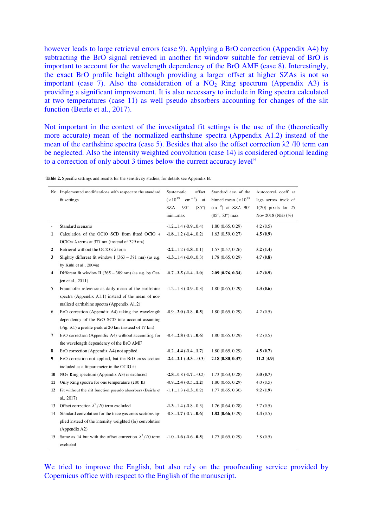however leads to large retrieval errors (case 9). Applying a BrO correction (Appendix A4) by subtracting the BrO signal retrieved in another fit window suitable for retrieval of BrO is important to account for the wavelength dependency of the BrO AMF (case 8). Interestingly, the exact BrO profile height although providing a larger offset at higher SZAs is not so important (case 7). Also the consideration of a  $NO<sub>2</sub>$  Ring spectrum (Appendix A3) is providing a significant improvement. It is also necessary to include in Ring spectra calculated at two temperatures (case 11) as well pseudo absorbers accounting for changes of the slit function (Beirle et al., 2017).

Not important in the context of the investigated fit settings is the use of the (theoretically more accurate) mean of the normalized earthshine spectra (Appendix A1.2) instead of the mean of the earthshine spectra (case 5). Besides that also the offset correction  $\lambda$ 2 /I0 term can be neglected. Also the intensity weighted convolution (case 14) is considered optional leading to a correction of only about 3 times below the current accuracy level"

Table 2. Specific settings and results for the sensitivity studies, for details see Appendix B.

|    | Nr. Implemented modifications with respect to the standard<br>fit settings | Systematic<br>offset<br>$(\times 10^{13} \text{ cm}^{-2})$ at | Standard dev. of the<br>binned mean $(\times 10^{13}$<br>$cm^{-2}$ ) at SZA 90° | Autocorrel. coeff. at<br>lags across track of |
|----|----------------------------------------------------------------------------|---------------------------------------------------------------|---------------------------------------------------------------------------------|-----------------------------------------------|
|    |                                                                            | <b>SZA</b><br>$90^\circ$<br>(85°)<br>minmax                   | $(85^{\circ}, 60^{\circ})$ max                                                  | $1(20)$ pixels for $25$<br>Nov 2018 (NH) (%)  |
|    | Standard scenario                                                          | $-1.21.4$ ( $-0.90.4$ )                                       | 1.80(0.65, 0.29)                                                                | 4.2(0.5)                                      |
| 1  | Calculation of the OCIO SCD from fitted OCIO +                             | $-1.81.2(-1.40.2)$                                            | 1.63(0.59, 0.27)                                                                | 4.5(0.9)                                      |
|    | $OClO \times \lambda$ terms at 377 nm (instead of 379 nm)                  |                                                               |                                                                                 |                                               |
| 2  | Retrieval without the OClO $\times \lambda$ term                           | $-2.21.2(-1.80.1)$                                            | 1.57(0.57, 0.26)                                                                | 5.2(1.4)                                      |
| 3  | Slightly different fit window I $(363 - 391$ nm) (as e.g.                  | $-1.31.4(-1.00.3)$                                            | 1.78(0.65, 0.29)                                                                | 4.7(0.8)                                      |
|    | by Kühl et al., 2004a)                                                     |                                                               |                                                                                 |                                               |
| 4  | Different fit window II (365 - 389 nm) (as e.g. by Oet-                    | $-0.72.5(-1.41.0)$                                            | 2.09(0.76, 0.34)                                                                | 4.7(0.9)                                      |
|    | jen et al., 2011)                                                          |                                                               |                                                                                 |                                               |
| 5  | Fraunhofer reference as daily mean of the earthshine                       | $-1.21.3(-0.90.3)$                                            | 1.80(0.65, 0.29)                                                                | 4.3(0.6)                                      |
|    | spectra (Appendix A1.1) instead of the mean of nor-                        |                                                               |                                                                                 |                                               |
|    | malized earthshine spectra (Appendix A1.2)                                 |                                                               |                                                                                 |                                               |
| 6  | BrO correction (Appendix A4) taking the wavelength                         | $-0.92.0$ $(-0.80.5)$                                         | 1.80(0.65, 0.29)                                                                | 4.2(0.5)                                      |
|    | dependency of the BrO SCD into account assuming                            |                                                               |                                                                                 |                                               |
|    | (Fig. A1) a profile peak at 20 km (instead of 17 km)                       |                                                               |                                                                                 |                                               |
| 7  | BrO correction (Appendix A4) without accounting for                        | $-0.42.8$ $(-0.70.6)$                                         | 1.80(0.65, 0.29)                                                                | 4.2(0.5)                                      |
|    | the wavelength dependency of the BrO AMF                                   |                                                               |                                                                                 |                                               |
| 8  | BrO correction (Appendix A4) not applied                                   | $-0.24.4(-0.41.7)$                                            | 1.80(0.65, 0.29)                                                                | 4.5(0.7)                                      |
| 9  | BrO correction not applied, but the BrO cross section                      | $-2.42.1(-3.3-0.3)$                                           | 2.18(0.80, 0.37)                                                                | 11.2(3.9)                                     |
|    | included as a fit parameter in the OCIO fit                                |                                                               |                                                                                 |                                               |
| 10 | NO <sub>2</sub> Ring spectrum (Appendix A3) is excluded                    | $-2.80.8(-1.7-0.2)$                                           | 1.73(0.63, 0.28)                                                                | 5.0(0.7)                                      |
| 11 | Only Ring spectra for one temperature (280 K)                              | $-0.92.4$ $(-0.51.2)$                                         | 1.80(0.65, 0.29)                                                                | 4.0(0.5)                                      |
| 12 | Fit without the slit function pseudo absorbers (Beirle et                  | $-1.11.3(-1.30.2)$                                            | 1.77(0.65, 0.30)                                                                | 9.2(1.9)                                      |
|    | al., 2017)                                                                 |                                                               |                                                                                 |                                               |
| 13 | Offset correction $\lambda^2/I0$ term excluded                             | $-1.31.4(-0.80.3)$                                            | 1.76 (0.64, 0.28)                                                               | 3.7(0.5)                                      |
| 14 | Standard convolution for the trace gas cross sections ap-                  | $-0.81.7(-0.70.6)$                                            | 1.82(0.66, 0.29)                                                                | 4.4(0.5)                                      |
|    | plied instead of the intensity weighted $(I_0)$ convolution                |                                                               |                                                                                 |                                               |
|    | (Appendix A2)                                                              |                                                               |                                                                                 |                                               |
| 15 | Same as 14 but with the offset correction $\lambda^2/I0$ term              | $-1.01.6(-0.60.5)$                                            | 1.77(0.65, 0.29)                                                                | 3.8(0.5)                                      |
|    | excluded                                                                   |                                                               |                                                                                 |                                               |

We tried to improve the English, but also rely on the proofreading service provided by Copernicus office with respect to the English of the manuscript.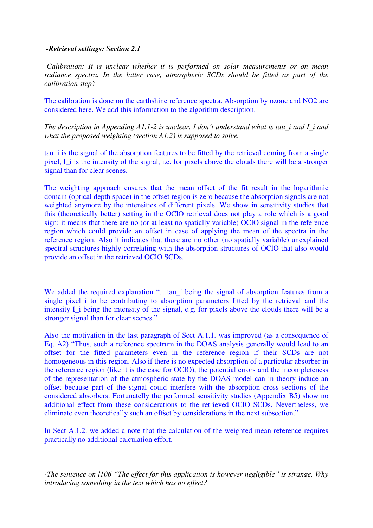# *-Retrieval settings: Section 2.1*

*-Calibration: It is unclear whether it is performed on solar measurements or on mean radiance spectra. In the latter case, atmospheric SCDs should be fitted as part of the calibration step?* 

The calibration is done on the earthshine reference spectra. Absorption by ozone and NO2 are considered here. We add this information to the algorithm description.

*The description in Appending A1.1-2 is unclear. I don't understand what is tau\_i and I\_i and what the proposed weighting (section A1.2) is supposed to solve.* 

tau\_i is the signal of the absorption features to be fitted by the retrieval coming from a single pixel, I i is the intensity of the signal, i.e. for pixels above the clouds there will be a stronger signal than for clear scenes.

The weighting approach ensures that the mean offset of the fit result in the logarithmic domain (optical depth space) in the offset region is zero because the absorption signals are not weighted anymore by the intensities of different pixels. We show in sensitivity studies that this (theoretically better) setting in the OClO retrieval does not play a role which is a good sign: it means that there are no (or at least no spatially variable) OClO signal in the reference region which could provide an offset in case of applying the mean of the spectra in the reference region. Also it indicates that there are no other (no spatially variable) unexplained spectral structures highly correlating with the absorption structures of OClO that also would provide an offset in the retrieved OClO SCDs.

We added the required explanation "...tau i being the signal of absorption features from a single pixel i to be contributing to absorption parameters fitted by the retrieval and the intensity I i being the intensity of the signal, e.g. for pixels above the clouds there will be a stronger signal than for clear scenes."

Also the motivation in the last paragraph of Sect A.1.1. was improved (as a consequence of Eq. A2) "Thus, such a reference spectrum in the DOAS analysis generally would lead to an offset for the fitted parameters even in the reference region if their SCDs are not homogeneous in this region. Also if there is no expected absorption of a particular absorber in the reference region (like it is the case for OClO), the potential errors and the incompleteness of the representation of the atmospheric state by the DOAS model can in theory induce an offset because part of the signal could interfere with the absorption cross sections of the considered absorbers. Fortunatelly the performed sensitivity studies (Appendix B5) show no additional effect from these considerations to the retrieved OClO SCDs. Nevertheless, we eliminate even theoretically such an offset by considerations in the next subsection."

In Sect A.1.2. we added a note that the calculation of the weighted mean reference requires practically no additional calculation effort.

*-The sentence on l106 "The effect for this application is however negligible" is strange. Why introducing something in the text which has no effect?*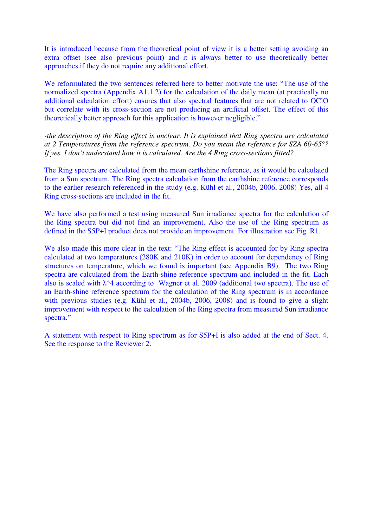It is introduced because from the theoretical point of view it is a better setting avoiding an extra offset (see also previous point) and it is always better to use theoretically better approaches if they do not require any additional effort.

We reformulated the two sentences referred here to better motivate the use: "The use of the normalized spectra (Appendix A1.1.2) for the calculation of the daily mean (at practically no additional calculation effort) ensures that also spectral features that are not related to OClO but correlate with its cross-section are not producing an artificial offset. The effect of this theoretically better approach for this application is however negligible."

*-the description of the Ring effect is unclear. It is explained that Ring spectra are calculated at 2 Temperatures from the reference spectrum. Do you mean the reference for SZA 60-65°? If yes, I don't understand how it is calculated. Are the 4 Ring cross-sections fitted?* 

The Ring spectra are calculated from the mean earthshine reference, as it would be calculated from a Sun spectrum. The Ring spectra calculation from the earthshine reference corresponds to the earlier research referenced in the study (e.g. Kühl et al., 2004b, 2006, 2008) Yes, all 4 Ring cross-sections are included in the fit.

We have also performed a test using measured Sun irradiance spectra for the calculation of the Ring spectra but did not find an improvement. Also the use of the Ring spectrum as defined in the S5P+I product does not provide an improvement. For illustration see Fig. R1.

We also made this more clear in the text: "The Ring effect is accounted for by Ring spectra calculated at two temperatures (280K and 210K) in order to account for dependency of Ring structures on temperature, which we found is important (see Appendix B9). The two Ring spectra are calculated from the Earth-shine reference spectrum and included in the fit. Each also is scaled with  $\lambda$ <sup>4</sup> according to Wagner et al. 2009 (additional two spectra). The use of an Earth-shine reference spectrum for the calculation of the Ring spectrum is in accordance with previous studies (e.g. Kühl et al., 2004b, 2006, 2008) and is found to give a slight improvement with respect to the calculation of the Ring spectra from measured Sun irradiance spectra."

A statement with respect to Ring spectrum as for S5P+I is also added at the end of Sect. 4. See the response to the Reviewer 2.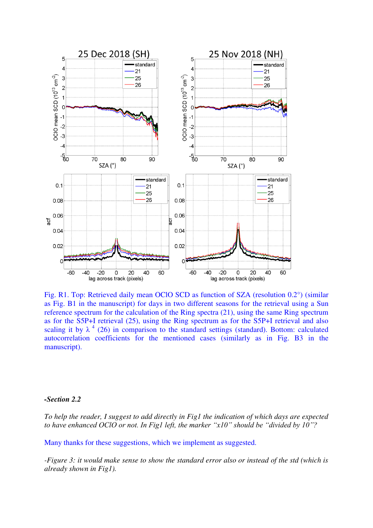

Fig. R1. Top: Retrieved daily mean OClO SCD as function of SZA (resolution 0.2°) (similar as Fig. B1 in the manuscript) for days in two different seasons for the retrieval using a Sun reference spectrum for the calculation of the Ring spectra (21), using the same Ring spectrum as for the S5P+I retrieval (25), using the Ring spectrum as for the S5P+I retrieval and also scaling it by  $\lambda^4$  (26) in comparison to the standard settings (standard). Bottom: calculated autocorrelation coefficients for the mentioned cases (similarly as in Fig. B3 in the manuscript).

#### *-Section 2.2*

*To help the reader, I suggest to add directly in Fig1 the indication of which days are expected to have enhanced OClO or not. In Fig1 left, the marker "x10" should be "divided by 10"?*

Many thanks for these suggestions, which we implement as suggested.

*-Figure 3: it would make sense to show the standard error also or instead of the std (which is already shown in Fig1).*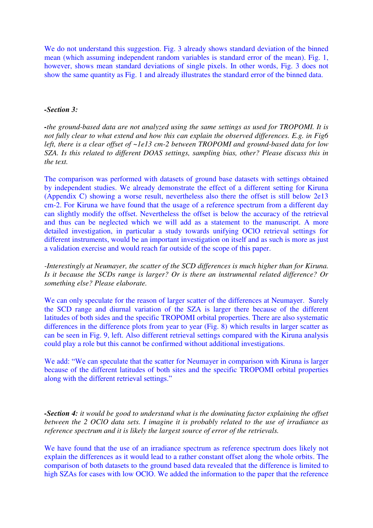We do not understand this suggestion. Fig. 3 already shows standard deviation of the binned mean (which assuming independent random variables is standard error of the mean). Fig. 1, however, shows mean standard deviations of single pixels. In other words, Fig. 3 does not show the same quantity as Fig. 1 and already illustrates the standard error of the binned data.

## *-Section 3:*

*-the ground-based data are not analyzed using the same settings as used for TROPOMI. It is not fully clear to what extend and how this can explain the observed differences. E.g. in Fig6 left, there is a clear offset of ~1e13 cm-2 between TROPOMI and ground-based data for low SZA. Is this related to different DOAS settings, sampling bias, other? Please discuss this in the text.* 

The comparison was performed with datasets of ground base datasets with settings obtained by independent studies. We already demonstrate the effect of a different setting for Kiruna (Appendix C) showing a worse result, nevertheless also there the offset is still below 2e13 cm-2. For Kiruna we have found that the usage of a reference spectrum from a different day can slightly modify the offset. Nevertheless the offset is below the accuracy of the retrieval and thus can be neglected which we will add as a statement to the manuscript. A more detailed investigation, in particular a study towards unifying OClO retrieval settings for different instruments, would be an important investigation on itself and as such is more as just a validation exercise and would reach far outside of the scope of this paper.

*-Interestingly at Neumayer, the scatter of the SCD differences is much higher than for Kiruna. Is it because the SCDs range is larger? Or is there an instrumental related difference? Or something else? Please elaborate.* 

We can only speculate for the reason of larger scatter of the differences at Neumayer. Surely the SCD range and diurnal variation of the SZA is larger there because of the different latitudes of both sides and the specific TROPOMI orbital properties. There are also systematic differences in the difference plots from year to year (Fig. 8) which results in larger scatter as can be seen in Fig. 9, left. Also different retrieval settings compared with the Kiruna analysis could play a role but this cannot be confirmed without additional investigations.

We add: "We can speculate that the scatter for Neumayer in comparison with Kiruna is larger because of the different latitudes of both sites and the specific TROPOMI orbital properties along with the different retrieval settings."

*-Section 4: it would be good to understand what is the dominating factor explaining the offset between the 2 OClO data sets. I imagine it is probably related to the use of irradiance as reference spectrum and it is likely the largest source of error of the retrievals.* 

We have found that the use of an irradiance spectrum as reference spectrum does likely not explain the differences as it would lead to a rather constant offset along the whole orbits. The comparison of both datasets to the ground based data revealed that the difference is limited to high SZAs for cases with low OClO. We added the information to the paper that the reference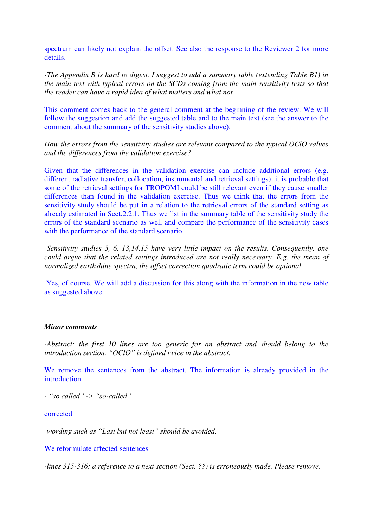spectrum can likely not explain the offset. See also the response to the Reviewer 2 for more details.

*-The Appendix B is hard to digest. I suggest to add a summary table (extending Table B1) in the main text with typical errors on the SCDs coming from the main sensitivity tests so that the reader can have a rapid idea of what matters and what not.* 

This comment comes back to the general comment at the beginning of the review. We will follow the suggestion and add the suggested table and to the main text (see the answer to the comment about the summary of the sensitivity studies above).

*How the errors from the sensitivity studies are relevant compared to the typical OClO values and the differences from the validation exercise?*

Given that the differences in the validation exercise can include additional errors (e.g. different radiative transfer, collocation, instrumental and retrieval settings), it is probable that some of the retrieval settings for TROPOMI could be still relevant even if they cause smaller differences than found in the validation exercise. Thus we think that the errors from the sensitivity study should be put in a relation to the retrieval errors of the standard setting as already estimated in Sect.2.2.1. Thus we list in the summary table of the sensitivity study the errors of the standard scenario as well and compare the performance of the sensitivity cases with the performance of the standard scenario.

*-Sensitivity studies 5, 6, 13,14,15 have very little impact on the results. Consequently, one could argue that the related settings introduced are not really necessary. E.g. the mean of normalized earthshine spectra, the offset correction quadratic term could be optional.* 

Yes, of course. We will add a discussion for this along with the information in the new table as suggested above.

#### *Minor comments*

*-Abstract: the first 10 lines are too generic for an abstract and should belong to the introduction section. "OClO" is defined twice in the abstract.*

We remove the sentences from the abstract. The information is already provided in the introduction.

*- "so called" -> "so-called"*

corrected

*-wording such as "Last but not least" should be avoided.*

#### We reformulate affected sentences

*-lines 315-316: a reference to a next section (Sect. ??) is erroneously made. Please remove.*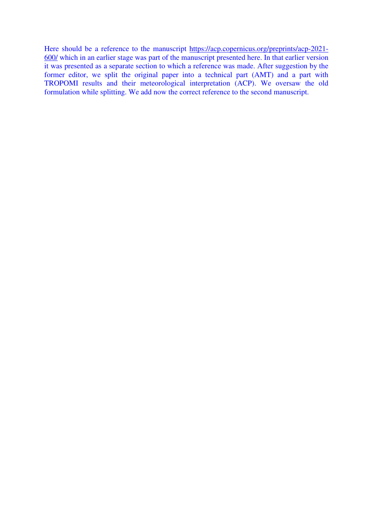Here should be a reference to the manuscript [https://acp.copernicus.org/preprints/acp-2021-](https://acp.copernicus.org/preprints/acp-2021-600/) [600/](https://acp.copernicus.org/preprints/acp-2021-600/) which in an earlier stage was part of the manuscript presented here. In that earlier version it was presented as a separate section to which a reference was made. After suggestion by the former editor, we split the original paper into a technical part (AMT) and a part with TROPOMI results and their meteorological interpretation (ACP). We oversaw the old formulation while splitting. We add now the correct reference to the second manuscript.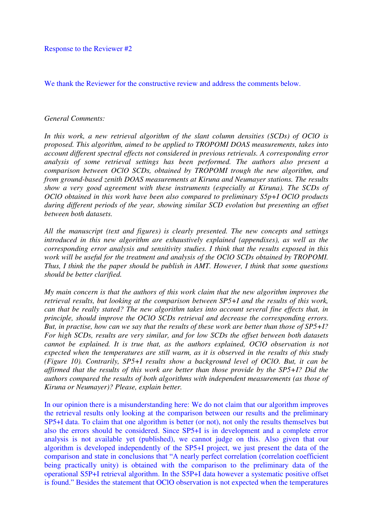Response to the Reviewer #2

We thank the Reviewer for the constructive review and address the comments below.

### *General Comments:*

*In this work, a new retrieval algorithm of the slant column densities (SCDs) of OClO is proposed. This algorithm, aimed to be applied to TROPOMI DOAS measurements, takes into account different spectral effects not considered in previous retrievals. A corresponding error analysis of some retrieval settings has been performed. The authors also present a comparison between OClO SCDs, obtained by TROPOMI trough the new algorithm, and from ground-based zenith DOAS measurements at Kiruna and Neumayer stations. The results show a very good agreement with these instruments (especially at Kiruna). The SCDs of OClO obtained in this work have been also compared to preliminary S5p+I OClO products during different periods of the year, showing similar SCD evolution but presenting an offset between both datasets.* 

*All the manuscript (text and figures) is clearly presented. The new concepts and settings introduced in this new algorithm are exhaustively explained (appendixes), as well as the corresponding error analysis and sensitivity studies. I think that the results exposed in this work will be useful for the treatment and analysis of the OClO SCDs obtained by TROPOMI. Thus, I think the the paper should be publish in AMT. However, I think that some questions should be better clarified.* 

*My main concern is that the authors of this work claim that the new algorithm improves the retrieval results, but looking at the comparison between SP5+I and the results of this work, can that be really stated? The new algorithm takes into account several fine effects that, in principle, should improve the OClO SCDs retrieval and decrease the corresponding errors. But, in practise, how can we say that the results of these work are better than those of SP5+I? For high SCDs, results are very similar, and for low SCDs the offset between both datasets cannot be explained. It is true that, as the authors explained, OClO observation is not expected when the temperatures are still warm, as it is observed in the results of this study (Figure 10). Contrarily, SP5+I results show a background level of OClO. But, it can be affirmed that the results of this work are better than those provide by the SP5+I? Did the authors compared the results of both algorithms with independent measurements (as those of Kiruna or Neumayer)? Please, explain better.* 

In our opinion there is a misunderstanding here: We do not claim that our algorithm improves the retrieval results only looking at the comparison between our results and the preliminary SP5+I data. To claim that one algorithm is better (or not), not only the results themselves but also the errors should be considered. Since SP5+I is in development and a complete error analysis is not available yet (published), we cannot judge on this. Also given that our algorithm is developed independently of the SP5+I project, we just present the data of the comparison and state in conclusions that "A nearly perfect correlation (correlation coefficient being practically unity) is obtained with the comparison to the preliminary data of the operational S5P+I retrieval algorithm. In the S5P+I data however a systematic positive offset is found." Besides the statement that OClO observation is not expected when the temperatures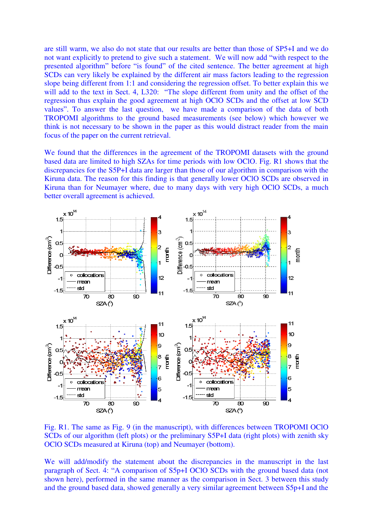are still warm, we also do not state that our results are better than those of SP5+I and we do not want explicitly to pretend to give such a statement. We will now add "with respect to the presented algorithm" before "is found" of the cited sentence. The better agreement at high SCDs can very likely be explained by the different air mass factors leading to the regression slope being different from 1:1 and considering the regression offset. To better explain this we will add to the text in Sect. 4, L320: "The slope different from unity and the offset of the regression thus explain the good agreement at high OClO SCDs and the offset at low SCD values". To answer the last question, we have made a comparison of the data of both TROPOMI algorithms to the ground based measurements (see below) which however we think is not necessary to be shown in the paper as this would distract reader from the main focus of the paper on the current retrieval.

We found that the differences in the agreement of the TROPOMI datasets with the ground based data are limited to high SZAs for time periods with low OClO. Fig. R1 shows that the discrepancies for the S5P+I data are larger than those of our algorithm in comparison with the Kiruna data. The reason for this finding is that generally lower OClO SCDs are observed in Kiruna than for Neumayer where, due to many days with very high OClO SCDs, a much better overall agreement is achieved.



Fig. R1. The same as Fig. 9 (in the manuscript), with differences between TROPOMI OClO SCDs of our algorithm (left plots) or the preliminary S5P+I data (right plots) with zenith sky OClO SCDs measured at Kiruna (top) and Neumayer (bottom).

We will add/modify the statement about the discrepancies in the manuscript in the last paragraph of Sect. 4: "A comparison of S5p+I OClO SCDs with the ground based data (not shown here), performed in the same manner as the comparison in Sect. 3 between this study and the ground based data, showed generally a very similar agreement between S5p+I and the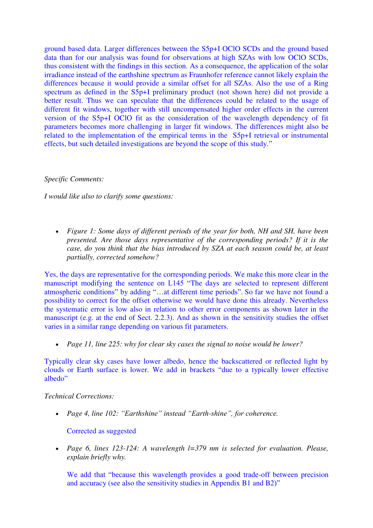ground based data. Larger differences between the S5p+I OClO SCDs and the ground based data than for our analysis was found for observations at high SZAs with low OClO SCDs, thus consistent with the findings in this section. As a consequence, the application of the solar irradiance instead of the earthshine spectrum as Fraunhofer reference cannot likely explain the differences because it would provide a similar offset for all SZAs. Also the use of a Ring spectrum as defined in the S5p+I preliminary product (not shown here) did not provide a better result. Thus we can speculate that the differences could be related to the usage of different fit windows, together with still uncompensated higher order effects in the current version of the S5p+I OClO fit as the consideration of the wavelength dependency of fit parameters becomes more challenging in larger fit windows. The differences might also be related to the implementation of the empirical terms in the S5p+I retrieval or instrumental effects, but such detailed investigations are beyond the scope of this study."

## *Specific Comments:*

*I would like also to clarify some questions:* 

 *Figure 1: Some days of different periods of the year for both, NH and SH, have been presented. Are those days representative of the corresponding periods? If it is the case, do you think that the bias introduced by SZA at each season could be, at least partially, corrected somehow?* 

Yes, the days are representative for the corresponding periods. We make this more clear in the manuscript modifying the sentence on L145 "The days are selected to represent different atmospheric conditions" by adding "…at different time periods". So far we have not found a possibility to correct for the offset otherwise we would have done this already. Nevertheless the systematic error is low also in relation to other error components as shown later in the manuscript (e.g. at the end of Sect. 2.2.3). And as shown in the sensitivity studies the offset varies in a similar range depending on various fit parameters.

*Page 11, line 225: why for clear sky cases the signal to noise would be lower?* 

Typically clear sky cases have lower albedo, hence the backscattered or reflected light by clouds or Earth surface is lower. We add in brackets "due to a typically lower effective albedo"

# *Technical Corrections:*

*Page 4, line 102: "Earthshine" instead "Earth-shine", for coherence.*

Corrected as suggested

 *Page 6, lines 123-124: A wavelength l=379 nm is selected for evaluation. Please, explain briefly why.* 

We add that "because this wavelength provides a good trade-off between precision and accuracy (see also the sensitivity studies in Appendix B1 and B2)"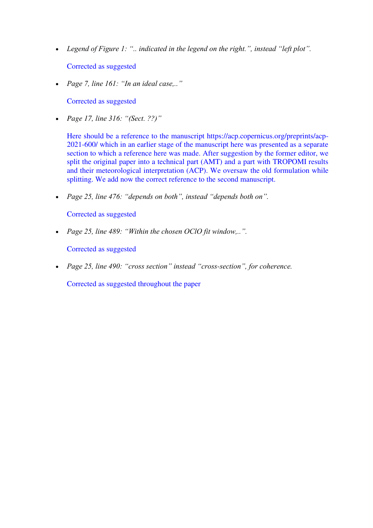- *Legend of Figure 1: ".. indicated in the legend on the right.", instead "left plot".* Corrected as suggested
- *Page 7, line 161: "In an ideal case,.."*

Corrected as suggested

*Page 17, line 316: "(Sect. ??)"*

Here should be a reference to the manuscript https://acp.copernicus.org/preprints/acp-2021-600/ which in an earlier stage of the manuscript here was presented as a separate section to which a reference here was made. After suggestion by the former editor, we split the original paper into a technical part (AMT) and a part with TROPOMI results and their meteorological interpretation (ACP). We oversaw the old formulation while splitting. We add now the correct reference to the second manuscript.

*Page 25, line 476: "depends on both", instead "depends both on".*

Corrected as suggested

*Page 25, line 489: "Within the chosen OClO fit window,..".*

Corrected as suggested

*Page 25, line 490: "cross section" instead "cross-section", for coherence.*

Corrected as suggested throughout the paper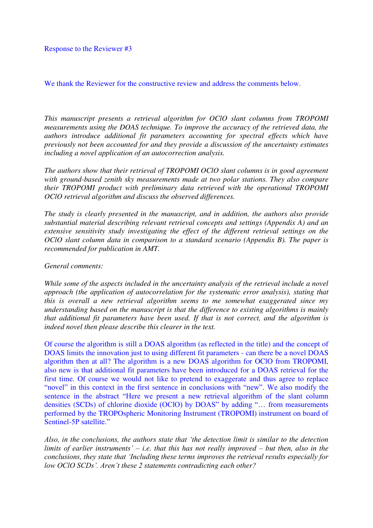We thank the Reviewer for the constructive review and address the comments below.

*This manuscript presents a retrieval algorithm for OClO slant columns from TROPOMI measurements using the DOAS technique. To improve the accuracy of the retrieved data, the authors introduce additional fit parameters accounting for spectral effects which have previously not been accounted for and they provide a discussion of the uncertainty estimates including a novel application of an autocorrection analysis.* 

*The authors show that their retrieval of TROPOMI OClO slant columns is in good agreement with ground-based zenith sky measurements made at two polar stations. They also compare their TROPOMI product with preliminary data retrieved with the operational TROPOMI OClO retrieval algorithm and discuss the observed differences.* 

*The study is clearly presented in the manuscript, and in addition, the authors also provide substantial material describing relevant retrieval concepts and settings (Appendix A) and an extensive sensitivity study investigating the effect of the different retrieval settings on the OClO slant column data in comparison to a standard scenario (Appendix B). The paper is recommended for publication in AMT.* 

## *General comments:*

*While some of the aspects included in the uncertainty analysis of the retrieval include a novel approach (the application of autocorrelation for the systematic error analysis), stating that this is overall a new retrieval algorithm seems to me somewhat exaggerated since my understanding based on the manuscript is that the difference to existing algorithms is mainly that additional fit parameters have been used. If that is not correct, and the algorithm is indeed novel then please describe this clearer in the text.* 

Of course the algorithm is still a DOAS algorithm (as reflected in the title) and the concept of DOAS limits the innovation just to using different fit parameters - can there be a novel DOAS algorithm then at all? The algorithm is a new DOAS algorithm for OClO from TROPOMI, also new is that additional fit parameters have been introduced for a DOAS retrieval for the first time. Of course we would not like to pretend to exaggerate and thus agree to replace "novel" in this context in the first sentence in conclusions with "new". We also modify the sentence in the abstract "Here we present a new retrieval algorithm of the slant column densities (SCDs) of chlorine dioxide (OClO) by DOAS" by adding "… from measurements performed by the TROPOspheric Monitoring Instrument (TROPOMI) instrument on board of Sentinel-5P satellite."

*Also, in the conclusions, the authors state that 'the detection limit is similar to the detection limits of earlier instruments' – i.e. that this has not really improved – but then, also in the conclusions, they state that 'Including these terms improves the retrieval results especially for low OClO SCDs'. Aren't these 2 statements contradicting each other?*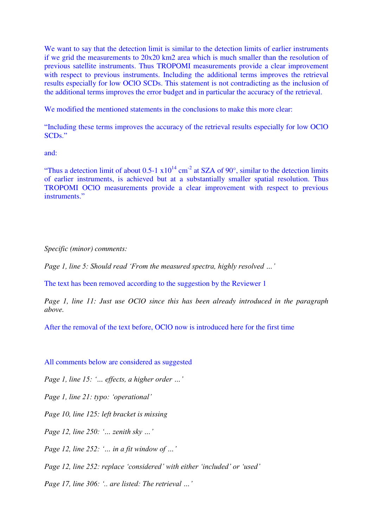We want to say that the detection limit is similar to the detection limits of earlier instruments if we grid the measurements to 20x20 km2 area which is much smaller than the resolution of previous satellite instruments. Thus TROPOMI measurements provide a clear improvement with respect to previous instruments. Including the additional terms improves the retrieval results especially for low OClO SCDs. This statement is not contradicting as the inclusion of the additional terms improves the error budget and in particular the accuracy of the retrieval.

We modified the mentioned statements in the conclusions to make this more clear:

"Including these terms improves the accuracy of the retrieval results especially for low OClO SCDs."

and:

"Thus a detection limit of about 0.5-1  $x10^{14}$  cm<sup>-2</sup> at SZA of 90°, similar to the detection limits of earlier instruments, is achieved but at a substantially smaller spatial resolution. Thus TROPOMI OClO measurements provide a clear improvement with respect to previous instruments."

*Specific (minor) comments:* 

*Page 1, line 5: Should read 'From the measured spectra, highly resolved …'*

The text has been removed according to the suggestion by the Reviewer 1

*Page 1, line 11: Just use OClO since this has been already introduced in the paragraph above.* 

After the removal of the text before, OClO now is introduced here for the first time

All comments below are considered as suggested

*Page 1, line 15: '… effects, a higher order …'*

*Page 1, line 21: typo: 'operational'*

*Page 10, line 125: left bracket is missing* 

*Page 12, line 250: '… zenith sky …'*

*Page 12, line 252: '… in a fit window of …'*

*Page 12, line 252: replace 'considered' with either 'included' or 'used'*

*Page 17, line 306: '.. are listed: The retrieval …'*